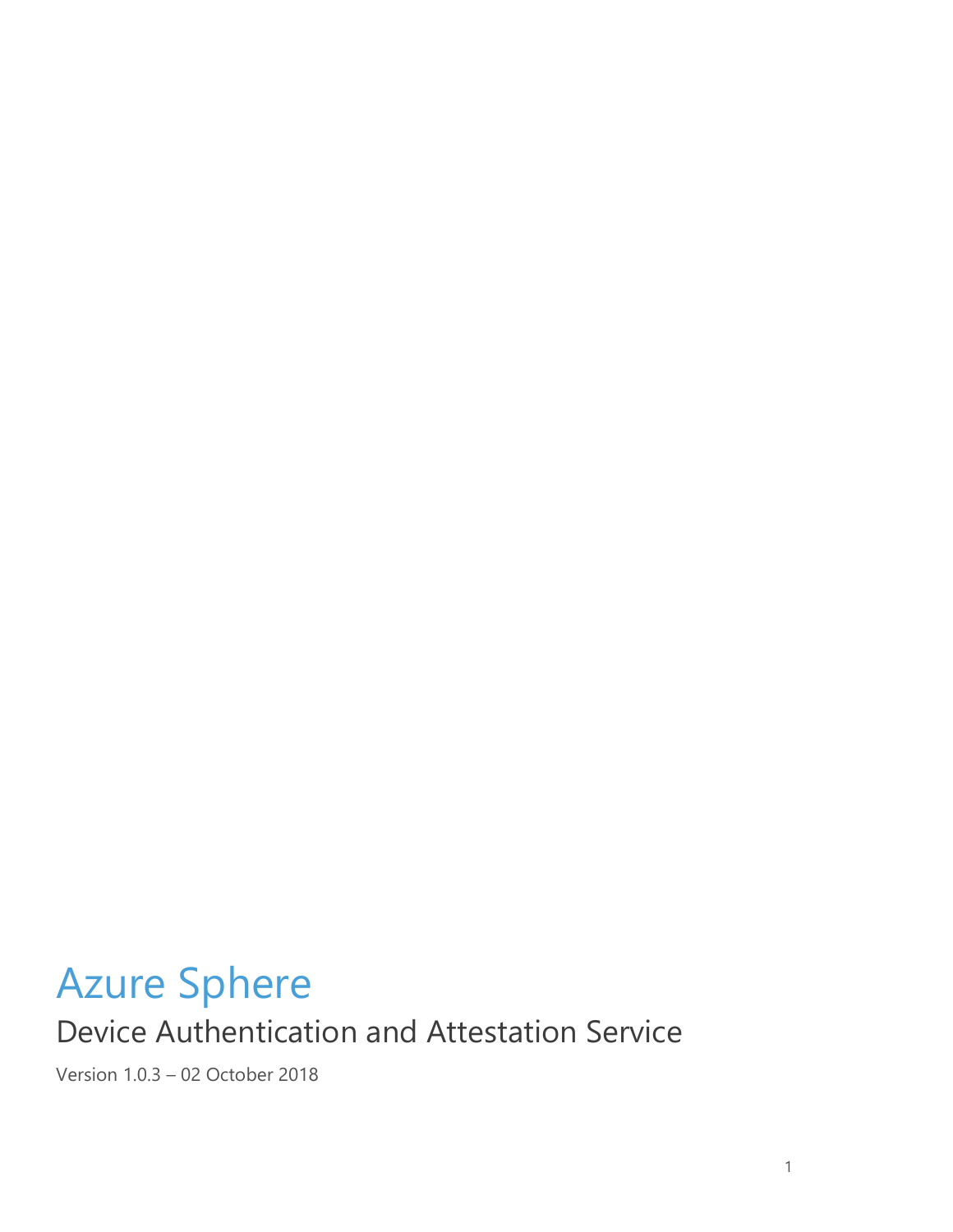# Azure Sphere Device Authentication and Attestation Service

Version 1.0.3 – 02 October 2018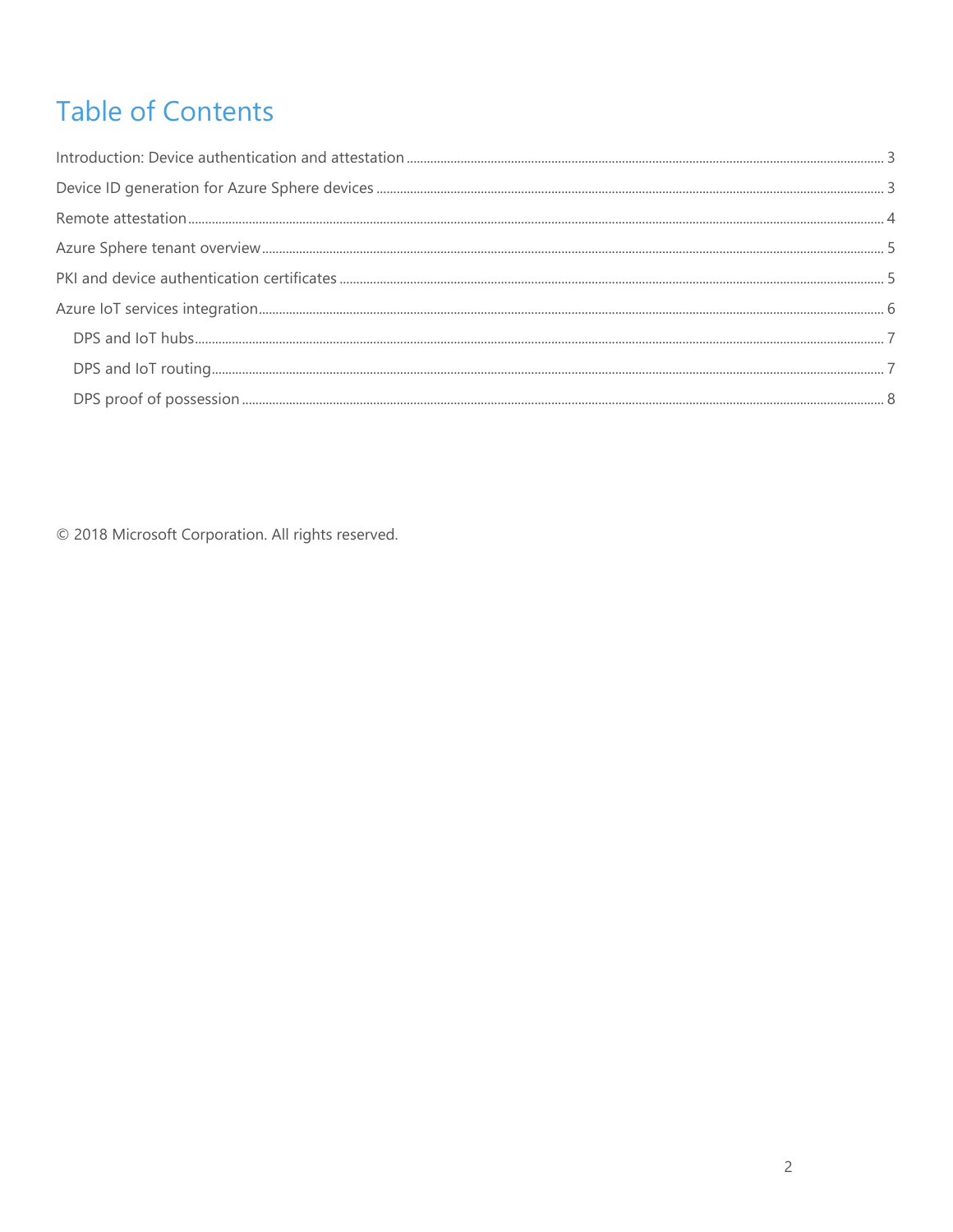# **Table of Contents**

<span id="page-1-0"></span>© 2018 Microsoft Corporation. All rights reserved.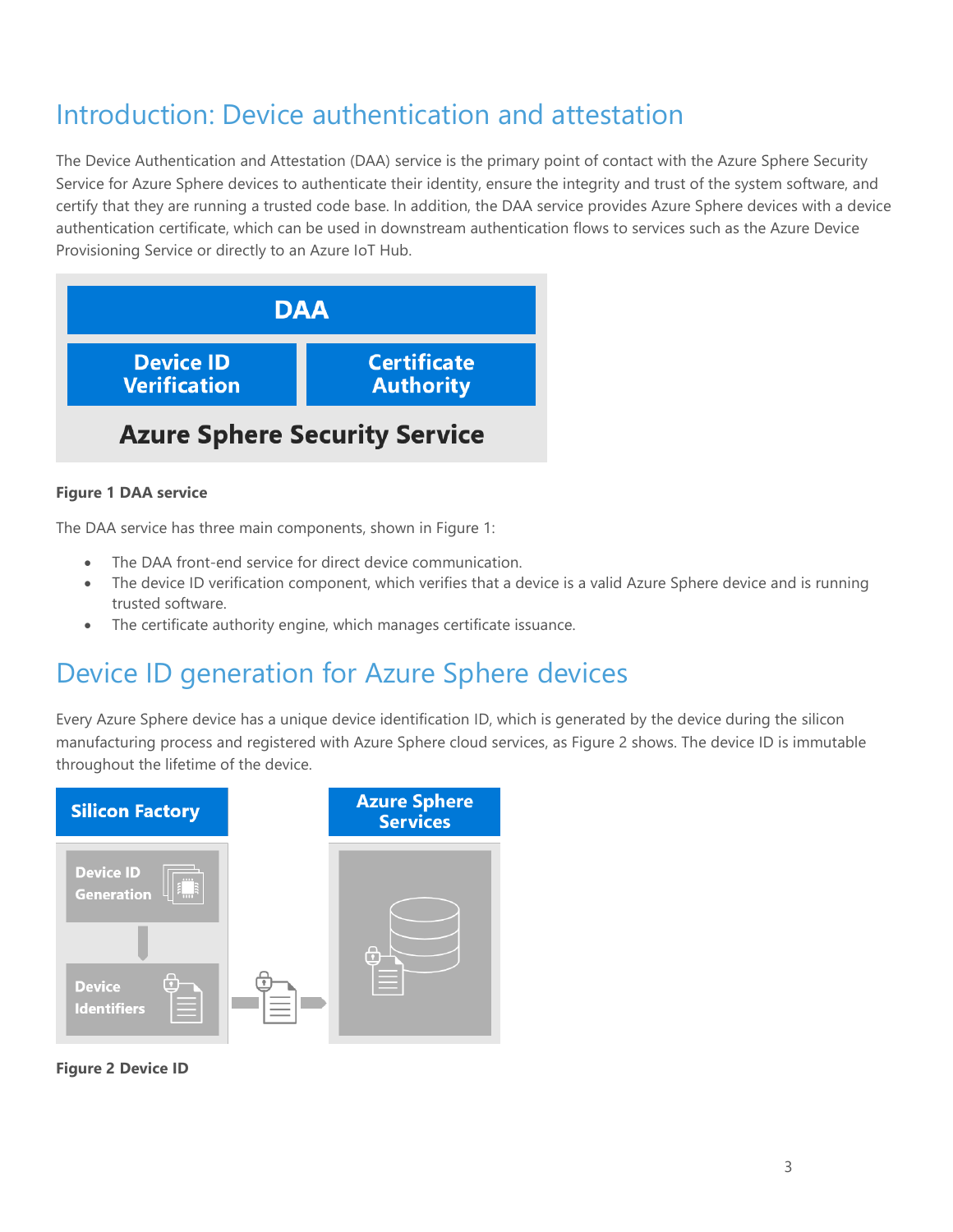# Introduction: Device authentication and attestation

The Device Authentication and Attestation (DAA) service is the primary point of contact with the Azure Sphere Security Service for Azure Sphere devices to authenticate their identity, ensure the integrity and trust of the system software, and certify that they are running a trusted code base. In addition, the DAA service provides Azure Sphere devices with a device authentication certificate, which can be used in downstream authentication flows to services such as the Azure Device Provisioning Service or directly to an Azure IoT Hub.



#### **Figure 1 DAA service**

The DAA service has three main components, shown in Figure 1:

- The DAA front-end service for direct device communication.
- The device ID verification component, which verifies that a device is a valid Azure Sphere device and is running trusted software.
- The certificate authority engine, which manages certificate issuance.

### <span id="page-2-0"></span>Device ID generation for Azure Sphere devices

Every Azure Sphere device has a unique device identification ID, which is generated by the device during the silicon manufacturing process and registered with Azure Sphere cloud services, as Figure 2 shows. The device ID is immutable throughout the lifetime of the device.



**Figure 2 Device ID**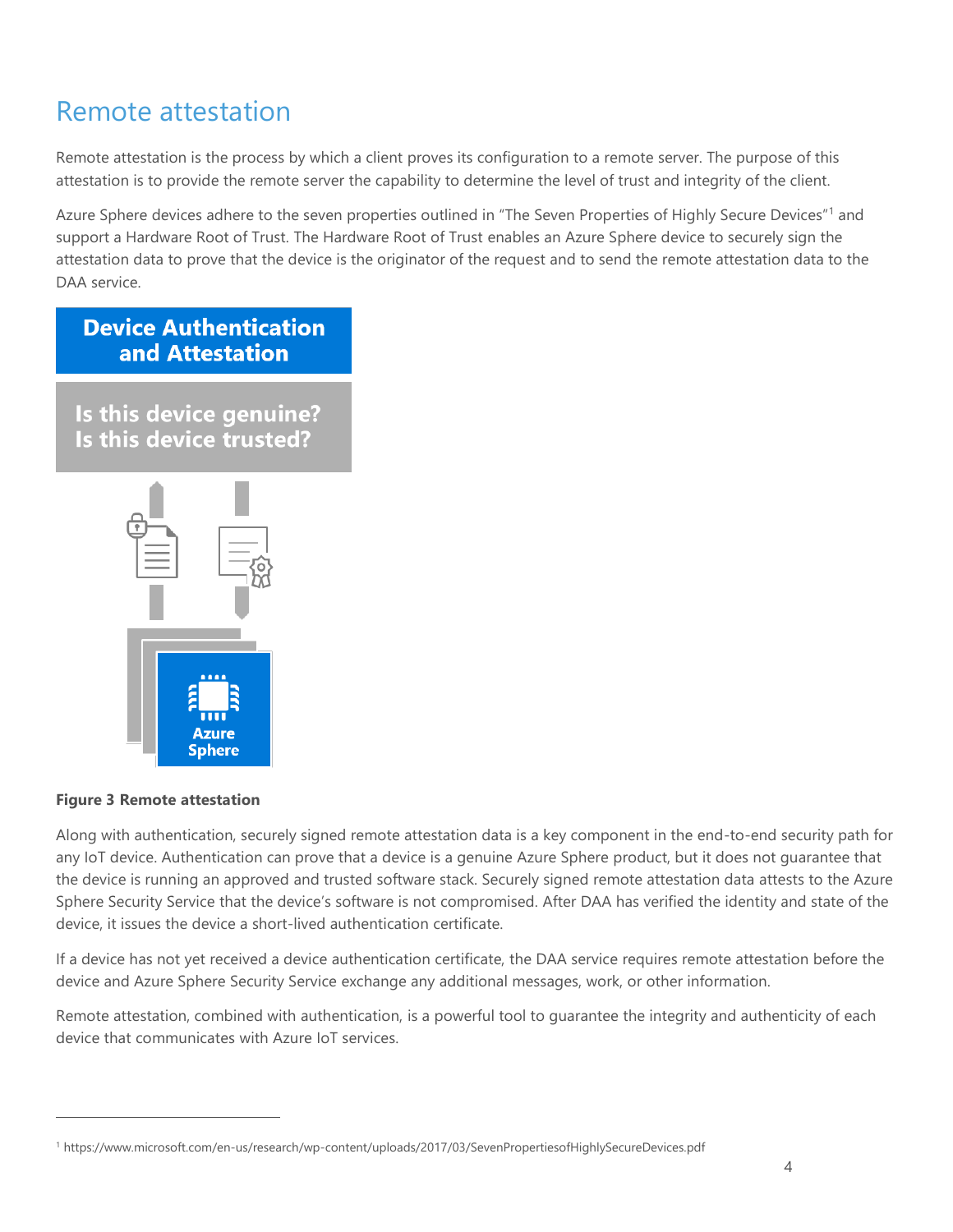### <span id="page-3-0"></span>Remote attestation

Remote attestation is the process by which a client proves its configuration to a remote server. The purpose of this attestation is to provide the remote server the capability to determine the level of trust and integrity of the client.

Azure Sphere devices adhere to the seven properties outlined in "The Seven Properties of Highly Secure Devices"<sup>1</sup> and support a Hardware Root of Trust. The Hardware Root of Trust enables an Azure Sphere device to securely sign the attestation data to prove that the device is the originator of the request and to send the remote attestation data to the DAA service.

### **Device Authentication** and Attestation

Is this device genuine? Is this device trusted?



#### **Figure 3 Remote attestation**

 $\overline{a}$ 

Along with authentication, securely signed remote attestation data is a key component in the end-to-end security path for any IoT device. Authentication can prove that a device is a genuine Azure Sphere product, but it does not guarantee that the device is running an approved and trusted software stack. Securely signed remote attestation data attests to the Azure Sphere Security Service that the device's software is not compromised. After DAA has verified the identity and state of the device, it issues the device a short-lived authentication certificate.

If a device has not yet received a device authentication certificate, the DAA service requires remote attestation before the device and Azure Sphere Security Service exchange any additional messages, work, or other information.

Remote attestation, combined with authentication, is a powerful tool to guarantee the integrity and authenticity of each device that communicates with Azure IoT services.

<sup>1</sup> https://www.microsoft.com/en-us/research/wp-content/uploads/2017/03/SevenPropertiesofHighlySecureDevices.pdf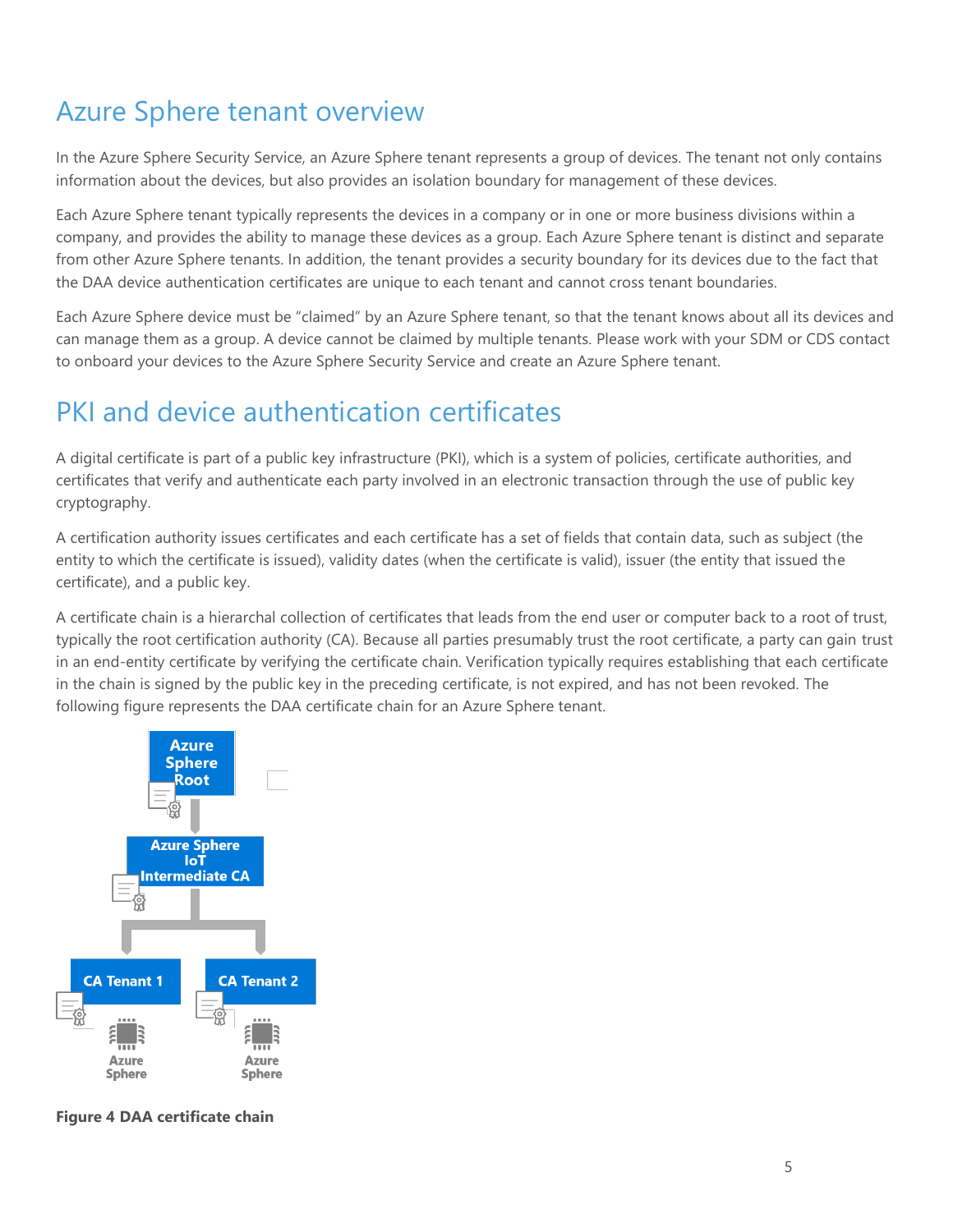## <span id="page-4-0"></span>Azure Sphere tenant overview

In the Azure Sphere Security Service, an Azure Sphere tenant represents a group of devices. The tenant not only contains information about the devices, but also provides an isolation boundary for management of these devices.

Each Azure Sphere tenant typically represents the devices in a company or in one or more business divisions within a company, and provides the ability to manage these devices as a group. Each Azure Sphere tenant is distinct and separate from other Azure Sphere tenants. In addition, the tenant provides a security boundary for its devices due to the fact that the DAA device authentication certificates are unique to each tenant and cannot cross tenant boundaries.

Each Azure Sphere device must be "claimed" by an Azure Sphere tenant, so that the tenant knows about all its devices and can manage them as a group. A device cannot be claimed by multiple tenants. Please work with your SDM or CDS contact to onboard your devices to the Azure Sphere Security Service and create an Azure Sphere tenant.

# <span id="page-4-1"></span>PKI and device authentication certificates

A digital certificate is part of a public key infrastructure (PKI), which is a system of policies, certificate authorities, and certificates that verify and authenticate each party involved in an electronic transaction through the use of public key cryptography.

A certification authority issues certificates and each certificate has a set of fields that contain data, such as subject (the entity to which the certificate is issued), validity dates (when the certificate is valid), issuer (the entity that issued the certificate), and a public key.

A certificate chain is a hierarchal collection of certificates that leads from the end user or computer back to a root of trust, typically the root certification authority (CA). Because all parties presumably trust the root certificate, a party can gain trust in an end-entity certificate by verifying the certificate chain. Verification typically requires establishing that each certificate in the chain is signed by the public key in the preceding certificate, is not expired, and has not been revoked. The following figure represents the DAA certificate chain for an Azure Sphere tenant.



**Figure 4 DAA certificate chain**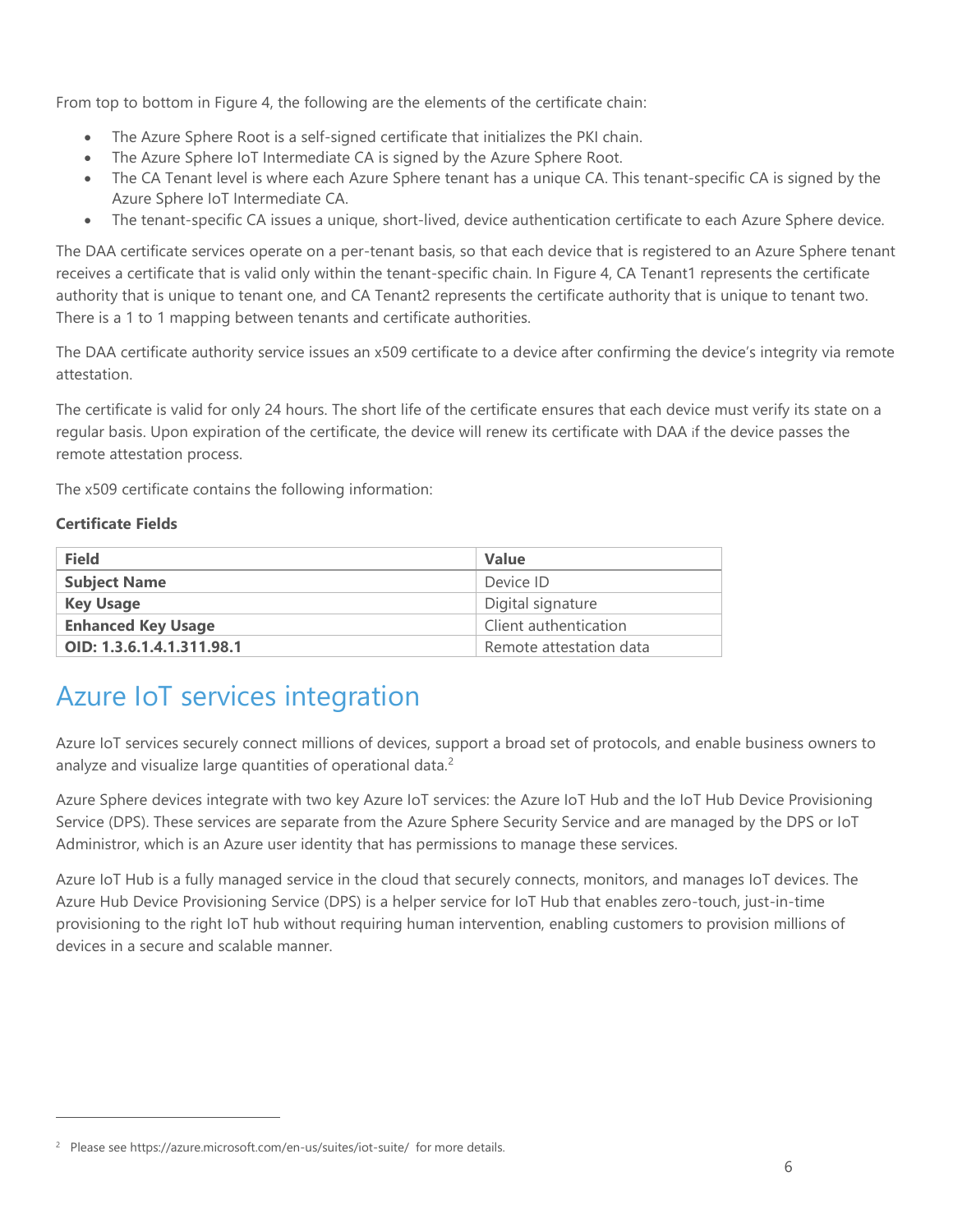From top to bottom in Figure 4, the following are the elements of the certificate chain:

- The Azure Sphere Root is a self-signed certificate that initializes the PKI chain.
- The Azure Sphere IoT Intermediate CA is signed by the Azure Sphere Root.
- The CA Tenant level is where each Azure Sphere tenant has a unique CA. This tenant-specific CA is signed by the Azure Sphere IoT Intermediate CA.
- The tenant-specific CA issues a unique, short-lived, device authentication certificate to each Azure Sphere device.

The DAA certificate services operate on a per-tenant basis, so that each device that is registered to an Azure Sphere tenant receives a certificate that is valid only within the tenant-specific chain. In Figure 4, CA Tenant1 represents the certificate authority that is unique to tenant one, and CA Tenant2 represents the certificate authority that is unique to tenant two. There is a 1 to 1 mapping between tenants and certificate authorities.

The DAA certificate authority service issues an x509 certificate to a device after confirming the device's integrity via remote attestation.

The certificate is valid for only 24 hours. The short life of the certificate ensures that each device must verify its state on a regular basis. Upon expiration of the certificate, the device will renew its certificate with DAA if the device passes the remote attestation process.

The x509 certificate contains the following information:

#### **Certificate Fields**

 $\overline{a}$ 

| <b>Field</b>              | <b>Value</b>            |
|---------------------------|-------------------------|
| <b>Subject Name</b>       | Device ID               |
| <b>Key Usage</b>          | Digital signature       |
| <b>Enhanced Key Usage</b> | Client authentication   |
| OID: 1.3.6.1.4.1.311.98.1 | Remote attestation data |

### <span id="page-5-0"></span>Azure IoT services integration

Azure IoT services securely connect millions of devices, support a broad set of protocols, and enable business owners to analyze and visualize large quantities of operational data.<sup>2</sup>

Azure Sphere devices integrate with two key Azure IoT services: the Azure IoT Hub and the IoT Hub Device Provisioning Service (DPS). These services are separate from the Azure Sphere Security Service and are managed by the DPS or IoT Administror, which is an Azure user identity that has permissions to manage these services.

Azure IoT Hub is a fully managed service in the cloud that securely connects, monitors, and manages IoT devices. The Azure Hub Device Provisioning Service (DPS) is a helper service for IoT Hub that enables zero-touch, just-in-time provisioning to the right IoT hub without requiring human intervention, enabling customers to provision millions of devices in a secure and scalable manner.

<sup>&</sup>lt;sup>2</sup> Please see https://azure.microsoft.com/en-us/suites/iot-suite/ for more details.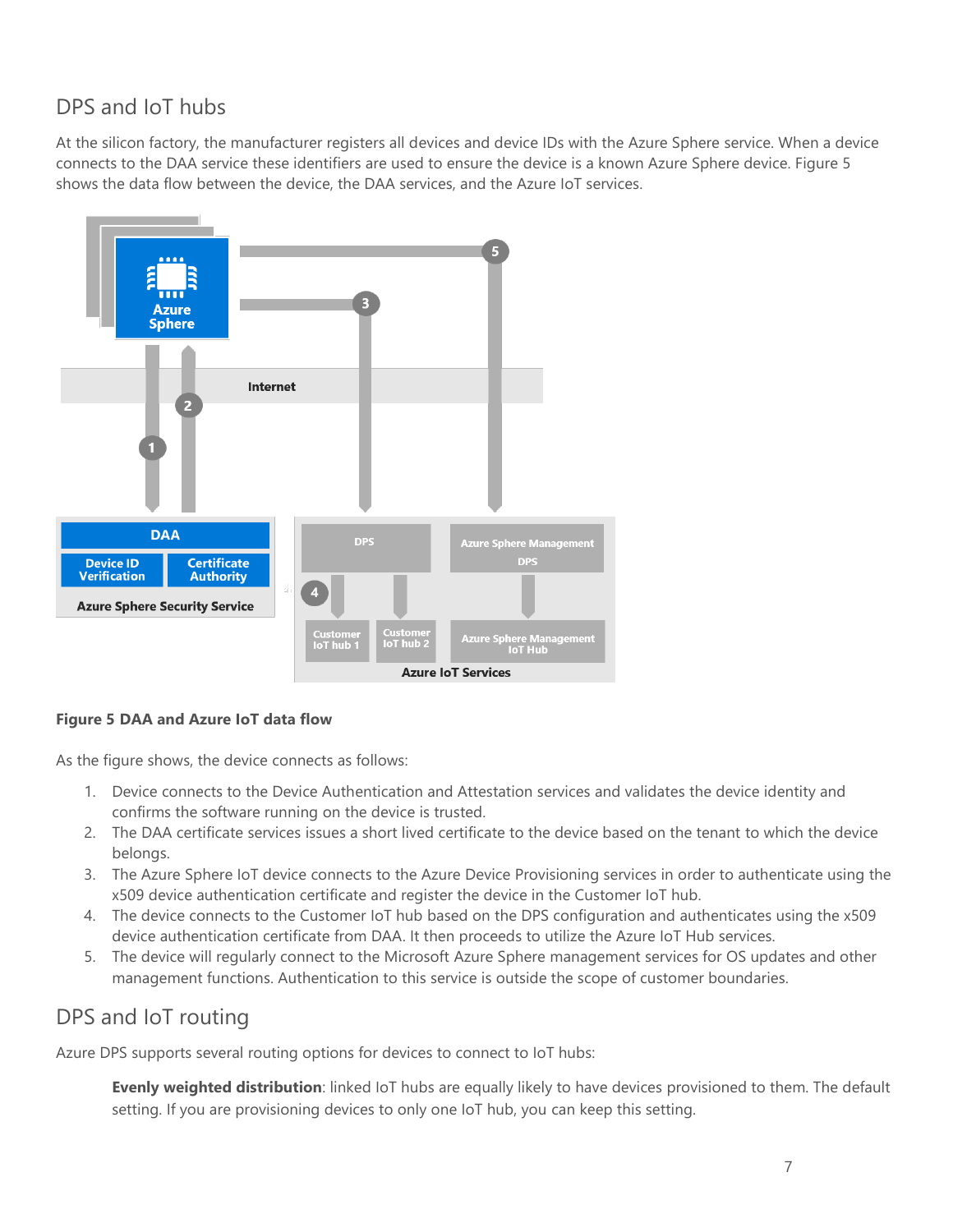#### <span id="page-6-0"></span>DPS and IoT hubs

At the silicon factory, the manufacturer registers all devices and device IDs with the Azure Sphere service. When a device connects to the DAA service these identifiers are used to ensure the device is a known Azure Sphere device. Figure 5 shows the data flow between the device, the DAA services, and the Azure IoT services.



#### **Figure 5 DAA and Azure IoT data flow**

As the figure shows, the device connects as follows:

- 1. Device connects to the Device Authentication and Attestation services and validates the device identity and confirms the software running on the device is trusted.
- 2. The DAA certificate services issues a short lived certificate to the device based on the tenant to which the device belongs.
- 3. The Azure Sphere IoT device connects to the Azure Device Provisioning services in order to authenticate using the x509 device authentication certificate and register the device in the Customer IoT hub.
- 4. The device connects to the Customer IoT hub based on the DPS configuration and authenticates using the x509 device authentication certificate from DAA. It then proceeds to utilize the Azure IoT Hub services.
- 5. The device will regularly connect to the Microsoft Azure Sphere management services for OS updates and other management functions. Authentication to this service is outside the scope of customer boundaries.

#### <span id="page-6-1"></span>DPS and IoT routing

Azure DPS supports several routing options for devices to connect to IoT hubs:

**Evenly weighted distribution**: linked IoT hubs are equally likely to have devices provisioned to them. The default setting. If you are provisioning devices to only one IoT hub, you can keep this setting.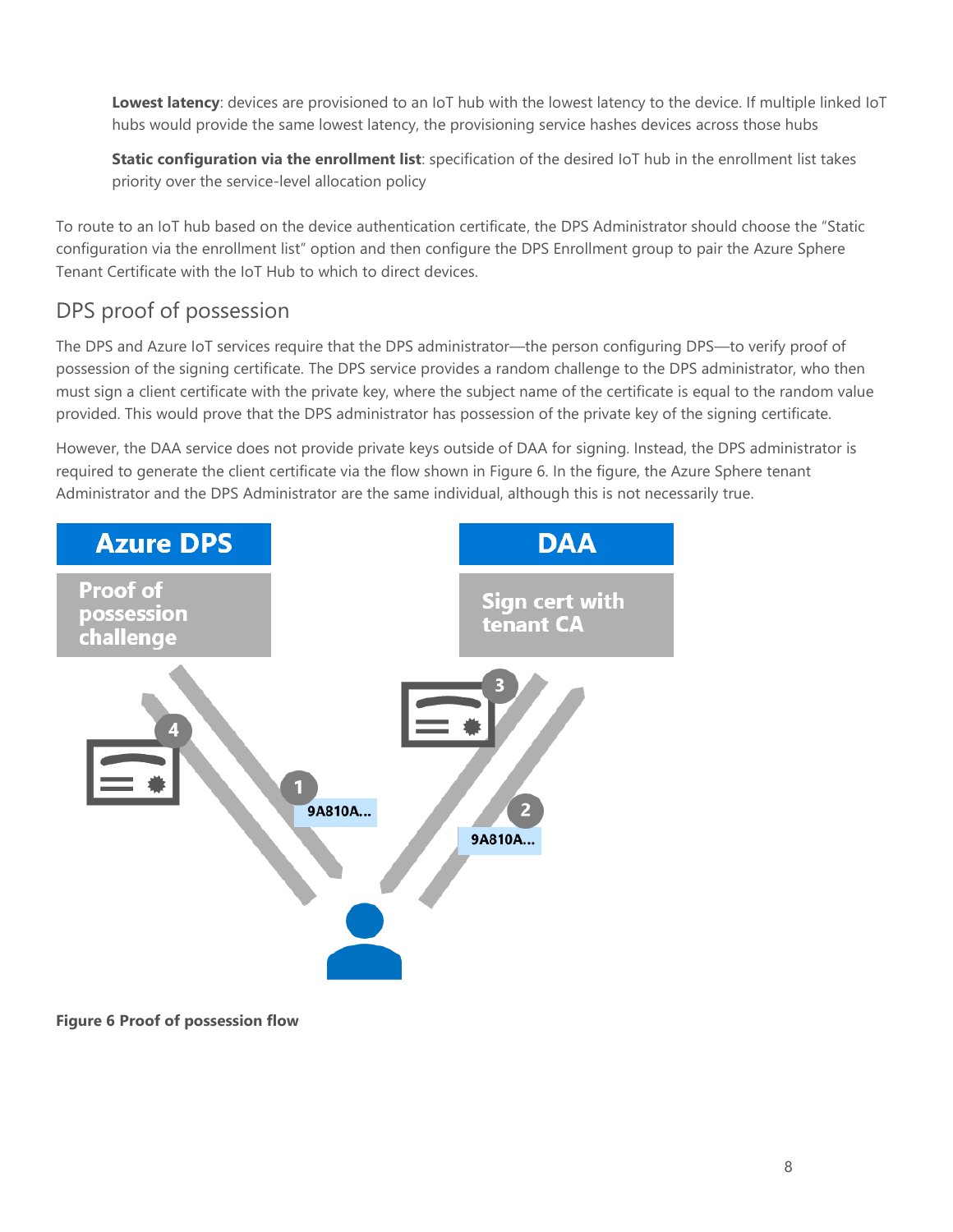**Lowest latency**: devices are provisioned to an IoT hub with the lowest latency to the device. If multiple linked IoT hubs would provide the same lowest latency, the provisioning service hashes devices across those hubs

**Static configuration via the enrollment list**: specification of the desired IoT hub in the enrollment list takes priority over the service-level allocation policy

To route to an IoT hub based on the device authentication certificate, the DPS Administrator should choose the "Static configuration via the enrollment list" option and then configure the DPS Enrollment group to pair the Azure Sphere Tenant Certificate with the IoT Hub to which to direct devices.

#### <span id="page-7-0"></span>DPS proof of possession

The DPS and Azure IoT services require that the DPS administrator—the person configuring DPS—to verify proof of possession of the signing certificate. The DPS service provides a random challenge to the DPS administrator, who then must sign a client certificate with the private key, where the subject name of the certificate is equal to the random value provided. This would prove that the DPS administrator has possession of the private key of the signing certificate.

However, the DAA service does not provide private keys outside of DAA for signing. Instead, the DPS administrator is required to generate the client certificate via the flow shown in Figure 6. In the figure, the Azure Sphere tenant Administrator and the DPS Administrator are the same individual, although this is not necessarily true.



**Figure 6 Proof of possession flow**